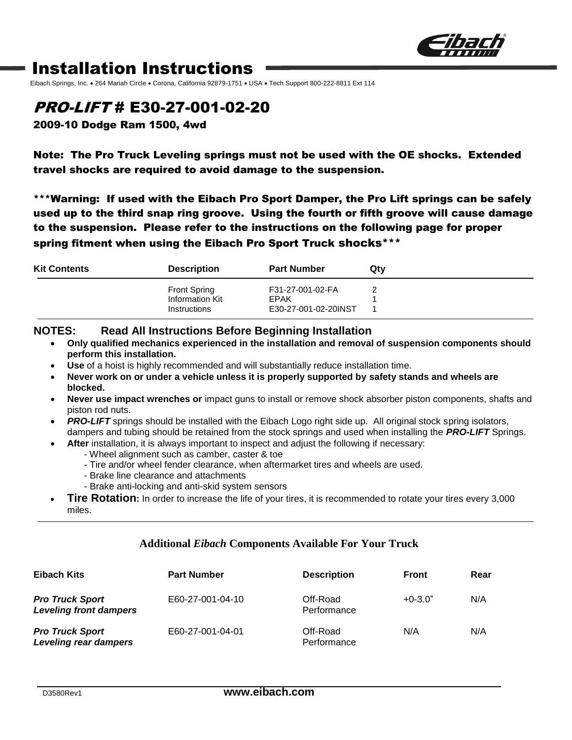

## Installation Instructions

Eibach Springs, Inc. • 264 Mariah Circle • Corona, California 92879-1751 • USA • Tech Support 800-222-8811 Ext 114

### PRO-LIFT # E30-27-001-02-20

2009-10 Dodge Ram 1500, 4wd

Note: The Pro Truck Leveling springs must not be used with the OE shocks. Extended travel shocks are required to avoid damage to the suspension.

\*\*\*Warning: If used with the Eibach Pro Sport Damper, the Pro Lift springs can be safely used up to the third snap ring groove. Using the fourth or fifth groove will cause damage to the suspension. Please refer to the instructions on the following page for proper spring fitment when using the Eibach Pro Sport Truck shocks\*\*\*

| <b>Kit Contents</b> | <b>Description</b>                                     | <b>Part Number</b>                                      | Qtv |
|---------------------|--------------------------------------------------------|---------------------------------------------------------|-----|
|                     | <b>Front Spring</b><br>Information Kit<br>Instructions | F31-27-001-02-FA<br><b>EPAK</b><br>E30-27-001-02-20INST |     |

#### **NOTES: Read All Instructions Before Beginning Installation**

- **Only qualified mechanics experienced in the installation and removal of suspension components should perform this installation.**
- **Use** of a hoist is highly recommended and will substantially reduce installation time.
- **Never work on or under a vehicle unless it is properly supported by safety stands and wheels are blocked.**
- **Never use impact wrenches or** impact guns to install or remove shock absorber piston components, shafts and piston rod nuts.
- **PRO-LIFT** springs should be installed with the Eibach Logo right side up. All original stock spring isolators, dampers and tubing should be retained from the stock springs and used when installing the *PRO-LIFT* Springs.
- **After** installation, it is always important to inspect and adjust the following if necessary:
	- Wheel alignment such as camber, caster & toe
	- Tire and/or wheel fender clearance, when aftermarket tires and wheels are used.
	- Brake line clearance and attachments
	- Brake anti-locking and anti-skid system sensors
- **Tire Rotation:** In order to increase the life of your tires, it is recommended to rotate your tires every 3,000 miles.

#### **Additional** *Eibach* **Components Available For Your Truck**

| Eibach Kits                                             | <b>Part Number</b> | <b>Description</b>      | <b>Front</b> | Rear |
|---------------------------------------------------------|--------------------|-------------------------|--------------|------|
| <b>Pro Truck Sport</b><br><b>Leveling front dampers</b> | E60-27-001-04-10   | Off-Road<br>Performance | $+0-3.0"$    | N/A  |
| <b>Pro Truck Sport</b><br><b>Leveling rear dampers</b>  | E60-27-001-04-01   | Off-Road<br>Performance | N/A          | N/A  |